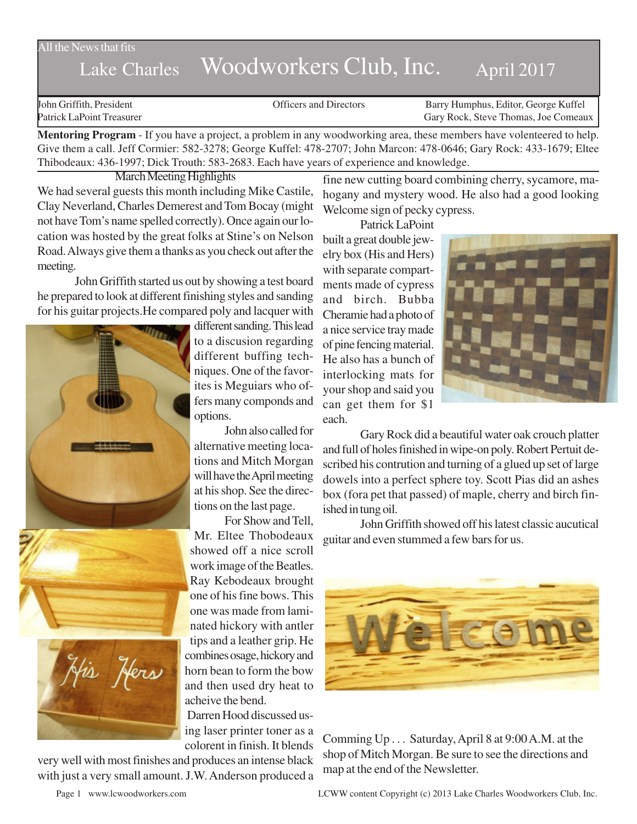## All the News that fits

## Lake Charles Woodworkers Club, Inc. April 2017

John Griffith, President Officers and Directors Barry Humphus, Editor, George Kuffel Patrick LaPoint Treasurer Gary Rock, Steve Thomas, Joe Comeaux

**Mentoring Program** - If you have a project, a problem in any woodworking area, these members have volenteered to help. Give them a call. Jeff Cormier: 582-3278; George Kuffel: 478-2707; John Marcon: 478-0646; Gary Rock: 433-1679; Eltee Thibodeaux: 436-1997; Dick Trouth: 583-2683. Each have years of experience and knowledge.

March Meeting Highlights

We had several guests this month including Mike Castile, Clay Neverland, Charles Demerest and Tom Bocay (might not have Tom's name spelled correctly). Once again our location was hosted by the great folks at Stine's on Nelson Road. Always give them a thanks as you check out after the meeting.

John Griffith started us out by showing a test board he prepared to look at different finishing styles and sanding for his guitar projects.He compared poly and lacquer with





different sanding. This lead to a discusion regarding different buffing techniques. One of the favorites is Meguiars who offers many componds and options.

John also called for alternative meeting locations and Mitch Morgan will have the April meeting at his shop. See the directions on the last page.

For Show and Tell, Mr. Eltee Thobodeaux showed off a nice scroll work image of the Beatles. Ray Kebodeaux brought one of his fine bows. This one was made from laminated hickory with antler tips and a leather grip. He combines osage, hickory and horn bean to form the bow and then used dry heat to acheive the bend.

Darren Hood discussed using laser printer toner as a colorent in finish. It blends

very well with most finishes and produces an intense black with just a very small amount. J.W. Anderson produced a fine new cutting board combining cherry, sycamore, mahogany and mystery wood. He also had a good looking Welcome sign of pecky cypress.

Patrick LaPoint built a great double jewelry box (His and Hers) with separate compartments made of cypress and birch. Bubba Cheramie had a photo of a nice service tray made of pine fencing material. He also has a bunch of interlocking mats for your shop and said you can get them for \$1 each.



Gary Rock did a beautiful water oak crouch platter and full of holes finished in wipe-on poly. Robert Pertuit described his contrution and turning of a glued up set of large dowels into a perfect sphere toy. Scott Pias did an ashes box (fora pet that passed) of maple, cherry and birch finished in tung oil.

John Griffith showed off his latest classic aucutical guitar and even stummed a few bars for us.



Comming Up . . . Saturday, April 8 at 9:00 A.M. at the shop of Mitch Morgan. Be sure to see the directions and map at the end of the Newsletter.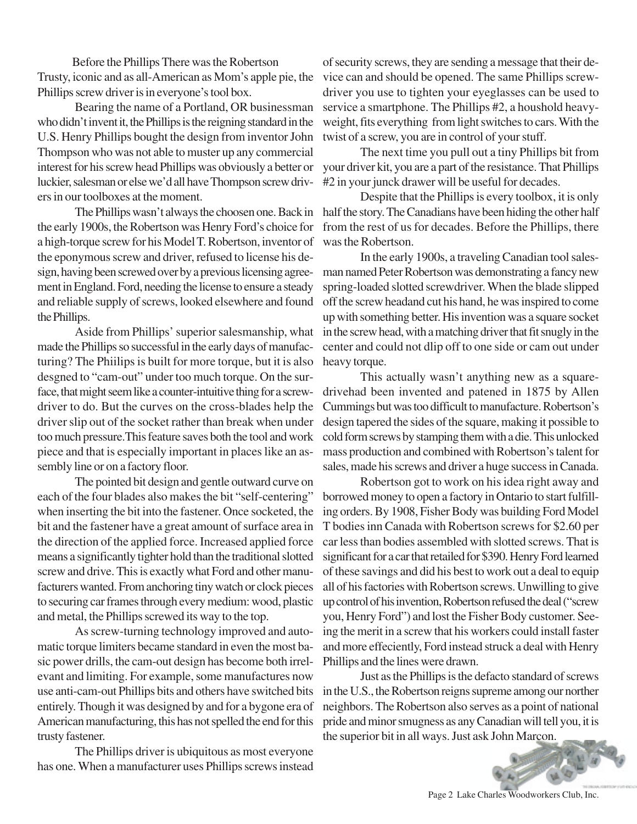Before the Phillips There was the Robertson Trusty, iconic and as all-American as Mom's apple pie, the Phillips screw driver is in everyone's tool box.

Bearing the name of a Portland, OR businessman who didn't invent it, the Phillips is the reigning standard in the U.S. Henry Phillips bought the design from inventor John Thompson who was not able to muster up any commercial interest for his screw head Phillips was obviously a better or luckier, salesman or else we'd all have Thompson screw drivers in our toolboxes at the moment.

the early 1900s, the Robertson was Henry Ford's choice for a high-torque screw for his Model T. Robertson, inventor of the eponymous screw and driver, refused to license his design, having been screwed over by a previous licensing agreement in England. Ford, needing the license to ensure a steady and reliable supply of screws, looked elsewhere and found the Phillips.

Aside from Phillips' superior salesmanship, what made the Phillips so successful in the early days of manufacturing? The Phiilips is built for more torque, but it is also desgned to "cam-out" under too much torque. On the surface, that might seem like a counter-intuitive thing for a screwdriver to do. But the curves on the cross-blades help the driver slip out of the socket rather than break when under too much pressure.This feature saves both the tool and work piece and that is especially important in places like an assembly line or on a factory floor.

The pointed bit design and gentle outward curve on each of the four blades also makes the bit "self-centering" when inserting the bit into the fastener. Once socketed, the bit and the fastener have a great amount of surface area in the direction of the applied force. Increased applied force means a significantly tighter hold than the traditional slotted screw and drive. This is exactly what Ford and other manufacturers wanted. From anchoring tiny watch or clock pieces to securing car frames through every medium: wood, plastic and metal, the Phillips screwed its way to the top.

As screw-turning technology improved and automatic torque limiters became standard in even the most basic power drills, the cam-out design has become both irrelevant and limiting. For example, some manufactures now use anti-cam-out Phillips bits and others have switched bits entirely. Though it was designed by and for a bygone era of American manufacturing, this has not spelled the end for this trusty fastener.

The Phillips driver is ubiquitous as most everyone has one. When a manufacturer uses Phillips screws instead

of security screws, they are sending a message that their device can and should be opened. The same Phillips screwdriver you use to tighten your eyeglasses can be used to service a smartphone. The Phillips #2, a houshold heavyweight, fits everything from light switches to cars. With the twist of a screw, you are in control of your stuff.

The next time you pull out a tiny Phillips bit from your driver kit, you are a part of the resistance. That Phillips #2 in your junck drawer will be useful for decades.

The Phillips wasn't always the choosen one. Back in half the story. The Canadians have been hiding the other half Despite that the Phillips is every toolbox, it is only from the rest of us for decades. Before the Phillips, there was the Robertson.

> In the early 1900s, a traveling Canadian tool salesman named Peter Robertson was demonstrating a fancy new spring-loaded slotted screwdriver. When the blade slipped off the screw headand cut his hand, he was inspired to come up with something better. His invention was a square socket in the screw head, with a matching driver that fit snugly in the center and could not dlip off to one side or cam out under heavy torque.

> This actually wasn't anything new as a squaredrivehad been invented and patened in 1875 by Allen Cummings but was too difficult to manufacture. Robertson's design tapered the sides of the square, making it possible to cold form screws by stamping them with a die. This unlocked mass production and combined with Robertson's talent for sales, made his screws and driver a huge success in Canada.

> Robertson got to work on his idea right away and borrowed money to open a factory in Ontario to start fulfilling orders. By 1908, Fisher Body was building Ford Model T bodies inn Canada with Robertson screws for \$2.60 per car less than bodies assembled with slotted screws. That is significant for a car that retailed for \$390. Henry Ford learned of these savings and did his best to work out a deal to equip all of his factories with Robertson screws. Unwilling to give up control of his invention, Robertson refused the deal ("screw you, Henry Ford") and lost the Fisher Body customer. Seeing the merit in a screw that his workers could install faster and more effeciently, Ford instead struck a deal with Henry Phillips and the lines were drawn.

> Just as the Phillips is the defacto standard of screws in the U.S., the Robertson reigns supreme among our norther neighbors. The Robertson also serves as a point of national pride and minor smugness as any Canadian will tell you, it is the superior bit in all ways. Just ask John Marcon.

Page 2 Lake Charles Woodworkers Club, Inc.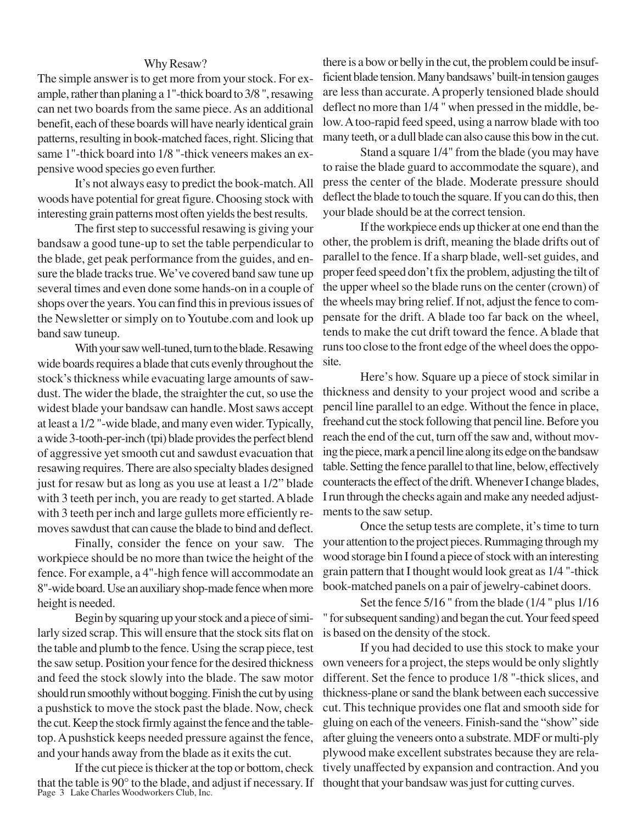## Why Resaw?

The simple answer is to get more from your stock. For example, rather than planing a 1"-thick board to 3/8 ", resawing can net two boards from the same piece. As an additional benefit, each of these boards will have nearly identical grain patterns, resulting in book-matched faces, right. Slicing that same 1"-thick board into 1/8 "-thick veneers makes an expensive wood species go even further.

It's not always easy to predict the book-match. All woods have potential for great figure. Choosing stock with interesting grain patterns most often yields the best results.

The first step to successful resawing is giving your bandsaw a good tune-up to set the table perpendicular to the blade, get peak performance from the guides, and ensure the blade tracks true. We've covered band saw tune up several times and even done some hands-on in a couple of shops over the years. You can find this in previous issues of the Newsletter or simply on to Youtube.com and look up band saw tuneup.

With your saw well-tuned, turn to the blade. Resawing wide boards requires a blade that cuts evenly throughout the stock's thickness while evacuating large amounts of sawdust. The wider the blade, the straighter the cut, so use the widest blade your bandsaw can handle. Most saws accept at least a 1/2 "-wide blade, and many even wider. Typically, a wide 3-tooth-per-inch (tpi) blade provides the perfect blend of aggressive yet smooth cut and sawdust evacuation that resawing requires. There are also specialty blades designed just for resaw but as long as you use at least a 1/2" blade with 3 teeth per inch, you are ready to get started. A blade with 3 teeth per inch and large gullets more efficiently removes sawdust that can cause the blade to bind and deflect.

Finally, consider the fence on your saw. The workpiece should be no more than twice the height of the fence. For example, a 4"-high fence will accommodate an 8"-wide board. Use an auxiliary shop-made fence when more height is needed.

Begin by squaring up your stock and a piece of similarly sized scrap. This will ensure that the stock sits flat on the table and plumb to the fence. Using the scrap piece, test the saw setup. Position your fence for the desired thickness and feed the stock slowly into the blade. The saw motor should run smoothly without bogging. Finish the cut by using a pushstick to move the stock past the blade. Now, check the cut. Keep the stock firmly against the fence and the tabletop. A pushstick keeps needed pressure against the fence, and your hands away from the blade as it exits the cut.

that the table is 90° to the blade, and adjust if necessary. If Page 3 Lake Charles Woodworkers Club, Inc. If the cut piece is thicker at the top or bottom, check

there is a bow or belly in the cut, the problem could be insufficient blade tension. Many bandsaws' built-in tension gauges are less than accurate. A properly tensioned blade should deflect no more than 1/4 " when pressed in the middle, below. A too-rapid feed speed, using a narrow blade with too many teeth, or a dull blade can also cause this bow in the cut.

Stand a square 1/4" from the blade (you may have to raise the blade guard to accommodate the square), and press the center of the blade. Moderate pressure should deflect the blade to touch the square. If you can do this, then your blade should be at the correct tension.

If the workpiece ends up thicker at one end than the other, the problem is drift, meaning the blade drifts out of parallel to the fence. If a sharp blade, well-set guides, and proper feed speed don't fix the problem, adjusting the tilt of the upper wheel so the blade runs on the center (crown) of the wheels may bring relief. If not, adjust the fence to compensate for the drift. A blade too far back on the wheel, tends to make the cut drift toward the fence. A blade that runs too close to the front edge of the wheel does the opposite.

Here's how. Square up a piece of stock similar in thickness and density to your project wood and scribe a pencil line parallel to an edge. Without the fence in place, freehand cut the stock following that pencil line. Before you reach the end of the cut, turn off the saw and, without moving the piece, mark a pencil line along its edge on the bandsaw table. Setting the fence parallel to that line, below, effectively counteracts the effect of the drift. Whenever I change blades, I run through the checks again and make any needed adjustments to the saw setup.

Once the setup tests are complete, it's time to turn your attention to the project pieces. Rummaging through my wood storage bin I found a piece of stock with an interesting grain pattern that I thought would look great as 1/4 "-thick book-matched panels on a pair of jewelry-cabinet doors.

Set the fence 5/16 " from the blade (1/4 " plus 1/16 " for subsequent sanding) and began the cut. Your feed speed is based on the density of the stock.

If you had decided to use this stock to make your own veneers for a project, the steps would be only slightly different. Set the fence to produce 1/8 "-thick slices, and thickness-plane or sand the blank between each successive cut. This technique provides one flat and smooth side for gluing on each of the veneers. Finish-sand the "show" side after gluing the veneers onto a substrate. MDF or multi-ply plywood make excellent substrates because they are relatively unaffected by expansion and contraction. And you thought that your bandsaw was just for cutting curves.